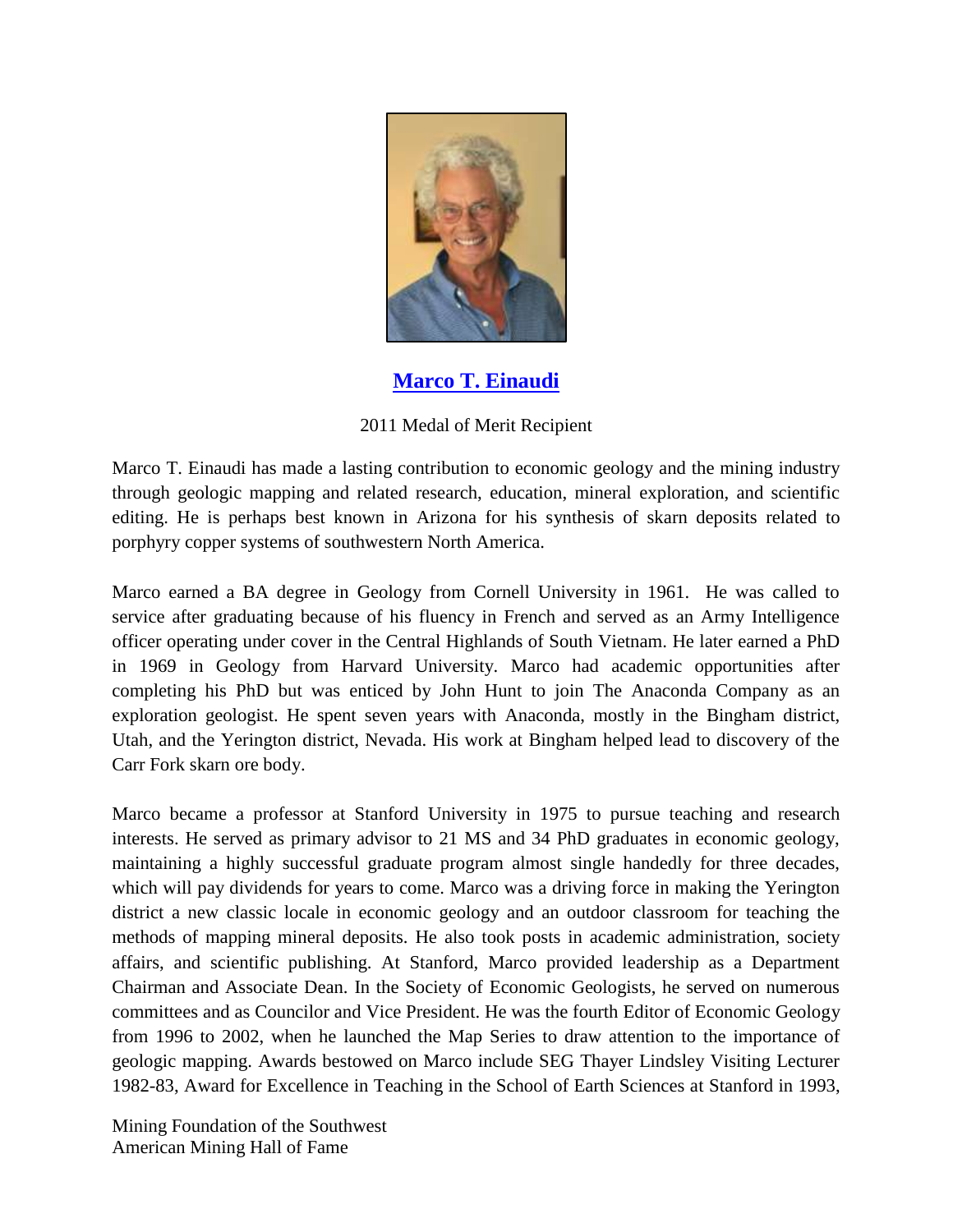

**[Marco T. Einaudi](http://www.youtube.com/watch?v=wPCTlhLx0zI&feature=youtu.be)**

## 2011 Medal of Merit Recipient

Marco T. Einaudi has made a lasting contribution to economic geology and the mining industry through geologic mapping and related research, education, mineral exploration, and scientific editing. He is perhaps best known in Arizona for his synthesis of skarn deposits related to porphyry copper systems of southwestern North America.

Marco earned a BA degree in Geology from Cornell University in 1961. He was called to service after graduating because of his fluency in French and served as an Army Intelligence officer operating under cover in the Central Highlands of South Vietnam. He later earned a PhD in 1969 in Geology from Harvard University. Marco had academic opportunities after completing his PhD but was enticed by John Hunt to join The Anaconda Company as an exploration geologist. He spent seven years with Anaconda, mostly in the Bingham district, Utah, and the Yerington district, Nevada. His work at Bingham helped lead to discovery of the Carr Fork skarn ore body.

Marco became a professor at Stanford University in 1975 to pursue teaching and research interests. He served as primary advisor to 21 MS and 34 PhD graduates in economic geology, maintaining a highly successful graduate program almost single handedly for three decades, which will pay dividends for years to come. Marco was a driving force in making the Yerington district a new classic locale in economic geology and an outdoor classroom for teaching the methods of mapping mineral deposits. He also took posts in academic administration, society affairs, and scientific publishing. At Stanford, Marco provided leadership as a Department Chairman and Associate Dean. In the Society of Economic Geologists, he served on numerous committees and as Councilor and Vice President. He was the fourth Editor of Economic Geology from 1996 to 2002, when he launched the Map Series to draw attention to the importance of geologic mapping. Awards bestowed on Marco include SEG Thayer Lindsley Visiting Lecturer 1982-83, Award for Excellence in Teaching in the School of Earth Sciences at Stanford in 1993,

Mining Foundation of the Southwest American Mining Hall of Fame